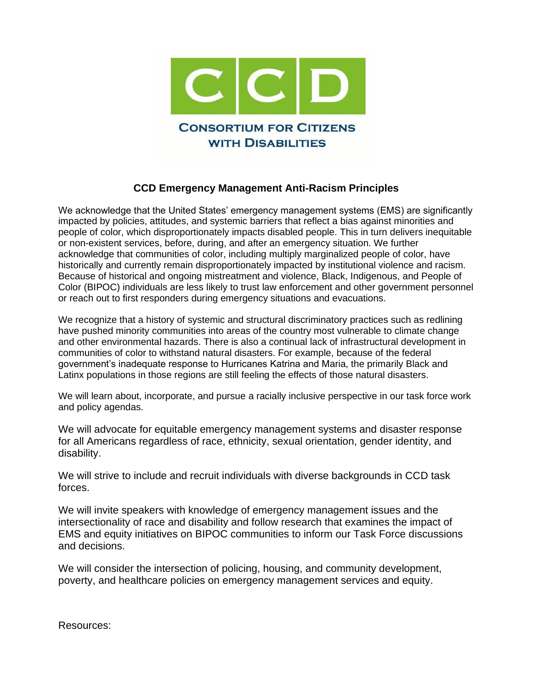

## **CCD Emergency Management Anti-Racism Principles**

We acknowledge that the United States' emergency management systems (EMS) are significantly impacted by policies, attitudes, and systemic barriers that reflect a bias against minorities and people of color, which disproportionately impacts disabled people. This in turn delivers inequitable or non-existent services, before, during, and after an emergency situation. We further acknowledge that communities of color, including multiply marginalized people of color, have historically and currently remain disproportionately impacted by institutional violence and racism. Because of historical and ongoing mistreatment and violence, Black, Indigenous, and People of Color (BIPOC) individuals are less likely to trust law enforcement and other government personnel or reach out to first responders during emergency situations and evacuations.

We recognize that a history of systemic and structural discriminatory practices such as redlining have pushed minority communities into areas of the country most vulnerable to climate change and other environmental hazards. There is also a continual lack of infrastructural development in communities of color to withstand natural disasters. For example, because of the federal government's inadequate response to Hurricanes Katrina and Maria, the primarily Black and Latinx populations in those regions are still feeling the effects of those natural disasters.

We will learn about, incorporate, and pursue a racially inclusive perspective in our task force work and policy agendas.

We will advocate for equitable emergency management systems and disaster response for all Americans regardless of race, ethnicity, sexual orientation, gender identity, and disability.

We will strive to include and recruit individuals with diverse backgrounds in CCD task forces.

We will invite speakers with knowledge of emergency management issues and the intersectionality of race and disability and follow research that examines the impact of EMS and equity initiatives on BIPOC communities to inform our Task Force discussions and decisions.

We will consider the intersection of policing, housing, and community development, poverty, and healthcare policies on emergency management services and equity.

Resources: